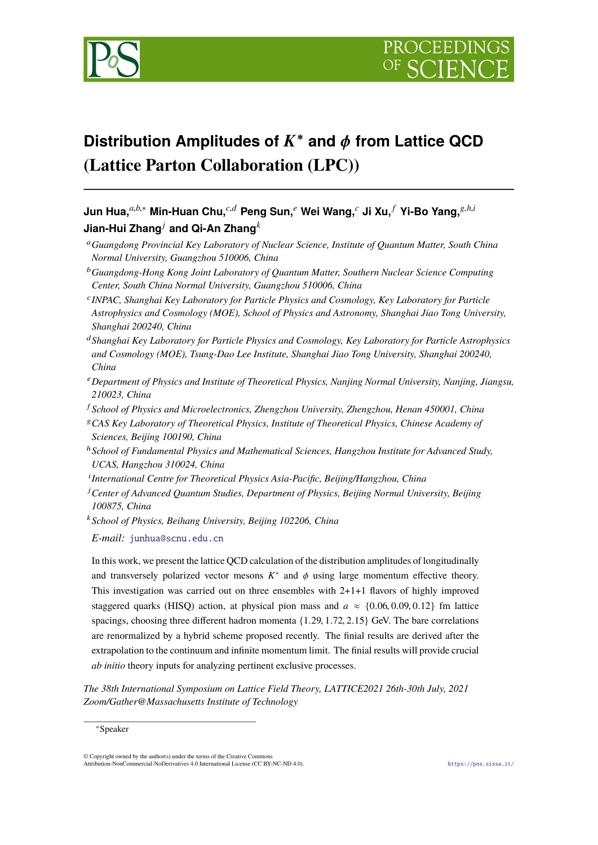

# **Distribution Amplitudes of** K∗ **and** φ **from Lattice QCD (Lattice Parton Collaboration (LPC))**

# Jun Hua, ${}^{a,b,*}$  Min-Huan Chu, ${}^{c,d}$  Peng Sun, ${}^e$  Wei Wang, ${}^c$  Ji Xu, ${}^f$  Yi-Bo Yang, ${}^{g,h,i}$ **Jian-Hui Zhang***<sup>j</sup>* **and Qi-An Zhang***<sup>k</sup>*

- <sup>a</sup>*Guangdong Provincial Key Laboratory of Nuclear Science, Institute of Quantum Matter, South China Normal University, Guangzhou 510006, China*
- <sup>b</sup>*Guangdong-Hong Kong Joint Laboratory of Quantum Matter, Southern Nuclear Science Computing Center, South China Normal University, Guangzhou 510006, China*
- <sup>c</sup>*INPAC, Shanghai Key Laboratory for Particle Physics and Cosmology, Key Laboratory for Particle Astrophysics and Cosmology (MOE), School of Physics and Astronomy, Shanghai Jiao Tong University, Shanghai 200240, China*
- <sup>d</sup>*Shanghai Key Laboratory for Particle Physics and Cosmology, Key Laboratory for Particle Astrophysics and Cosmology (MOE), Tsung-Dao Lee Institute, Shanghai Jiao Tong University, Shanghai 200240, China*
- <sup>e</sup>*Department of Physics and Institute of Theoretical Physics, Nanjing Normal University, Nanjing, Jiangsu, 210023, China*

<sup>f</sup> *School of Physics and Microelectronics, Zhengzhou University, Zhengzhou, Henan 450001, China*

- <sup>g</sup>*CAS Key Laboratory of Theoretical Physics, Institute of Theoretical Physics, Chinese Academy of Sciences, Beijing 100190, China*
- <sup>h</sup>*School of Fundamental Physics and Mathematical Sciences, Hangzhou Institute for Advanced Study, UCAS, Hangzhou 310024, China*
- i *International Centre for Theoretical Physics Asia-Pacific, Beijing/Hangzhou, China*
- j *Center of Advanced Quantum Studies, Department of Physics, Beijing Normal University, Beijing 100875, China*
- <sup>k</sup>*School of Physics, Beihang University, Beijing 102206, China*

*E-mail:* [junhua@scnu.edu.cn](mailto:junhua@scnu.edu.cn)

In this work, we present the lattice QCD calculation of the distribution amplitudes of longitudinally and transversely polarized vector mesons  $K^*$  and  $\phi$  using large momentum effective theory. This investigation was carried out on three ensembles with  $2+1+1$  flavors of highly improved staggered quarks (HISQ) action, at physical pion mass and  $a \approx \{0.06, 0.09, 0.12\}$  fm lattice spacings, choosing three different hadron momenta {1.29, 1.72, 2.15} GeV. The bare correlations are renormalized by a hybrid scheme proposed recently. The finial results are derived after the extrapolation to the continuum and infinite momentum limit. The finial results will provide crucial *ab initio* theory inputs for analyzing pertinent exclusive processes.

*The 38th International Symposium on Lattice Field Theory, LATTICE2021 26th-30th July, 2021 Zoom/Gather@Massachusetts Institute of Technology*

<sup>∗</sup>Speaker

<sup>©</sup> Copyright owned by the author(s) under the terms of the Creative Commons Attribution-NonCommercial-NoDerivatives 4.0 International License (CC BY-NC-ND 4.0). <https://pos.sissa.it/>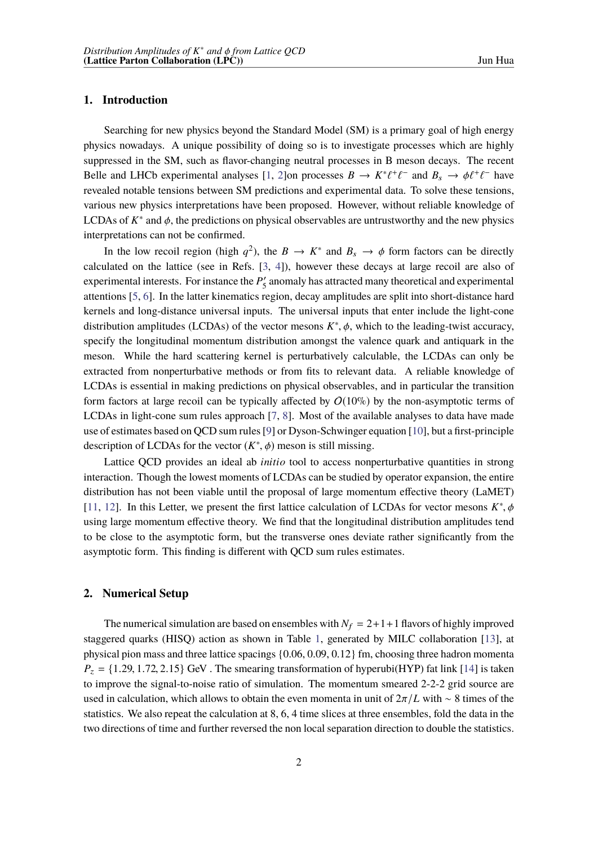#### **1. Introduction**

Searching for new physics beyond the Standard Model (SM) is a primary goal of high energy physics nowadays. A unique possibility of doing so is to investigate processes which are highly suppressed in the SM, such as flavor-changing neutral processes in B meson decays. The recent Belle and LHCb experimental analyses [[1](#page-6-0), [2](#page-6-1)]on processes  $B \to K^* \ell^+ \ell^-$  and  $B_s \to \phi \ell^+ \ell^-$  have revealed notable tensions between SM predictions and experimental data. To solve these tensions, various new physics interpretations have been proposed. However, without reliable knowledge of LCDAs of  $K^*$  and  $\phi$ , the predictions on physical observables are untrustworthy and the new physics interpretations can not be confirmed.

In the low recoil region (high  $q^2$ ), the  $B \to K^*$  and  $B_s \to \phi$  form factors can be directly calculated on the lattice (see in Refs. [[3](#page-6-2), [4\]](#page-6-3)), however these decays at large recoil are also of experimental interests. For instance the *P*′ <sup>5</sup> anomaly has attracted many theoretical and experimental attentions [[5](#page-6-4), [6](#page-6-5)]. In the latter kinematics region, decay amplitudes are split into short-distance hard kernels and long-distance universal inputs. The universal inputs that enter include the light-cone distribution amplitudes (LCDAs) of the vector mesons  $K^*$ ,  $\phi$ , which to the leading-twist accuracy, specify the longitudinal momentum distribution amongst the valence quark and antiquark in the meson. While the hard scattering kernel is perturbatively calculable, the LCDAs can only be extracted from nonperturbative methods or from fits to relevant data. A reliable knowledge of LCDAs is essential in making predictions on physical observables, and in particular the transition form factors at large recoil can be typically affected by  $O(10\%)$  by the non-asymptotic terms of LCDAs in light-cone sum rules approach [\[7,](#page-6-6) [8\]](#page-6-7). Most of the available analyses to data have made use of estimates based on QCD sum rules[\[9\]](#page-7-0) or Dyson-Schwinger equation [\[10](#page-7-1)], but a first-principle description of LCDAs for the vector  $(K^*, \phi)$  meson is still missing.

Lattice QCD provides an ideal ab *initio* tool to access nonperturbative quantities in strong interaction. Though the lowest moments of LCDAs can be studied by operator expansion, the entire distribution has not been viable until the proposal of large momentum effective theory (LaMET) [[11,](#page-7-2) [12\]](#page-7-3). In this Letter, we present the first lattice calculation of LCDAs for vector mesons  $K^*, \phi$ using large momentum effective theory. We find that the longitudinal distribution amplitudes tend to be close to the asymptotic form, but the transverse ones deviate rather significantly from the asymptotic form. This finding is different with QCD sum rules estimates.

#### **2. Numerical Setup**

The numerical simulation are based on ensembles with  $N_f = 2+1+1$  flavors of highly improved staggered quarks (HISQ) action as shown in Table [1](#page-2-0), generated by MILC collaboration [[13\]](#page-7-4), at physical pion mass and three lattice spacings {0.06, 0.09, 0.12} fm, choosing three hadron momenta  $P_z = \{1.29, 1.72, 2.15\}$  GeV. The smearing transformation of hyperubi(HYP) fat link [14] is taken to improve the signal-to-noise ratio of simulation. The momentum smeared 2-2-2 grid source are used in calculation, which allows to obtain the even momenta in unit of 2π/*L* with ∼ 8 times of the statistics. We also repeat the calculation at 8, 6, 4 time slices at three ensembles, fold the data in the two directions of time and further reversed the non local separation direction to double the statistics.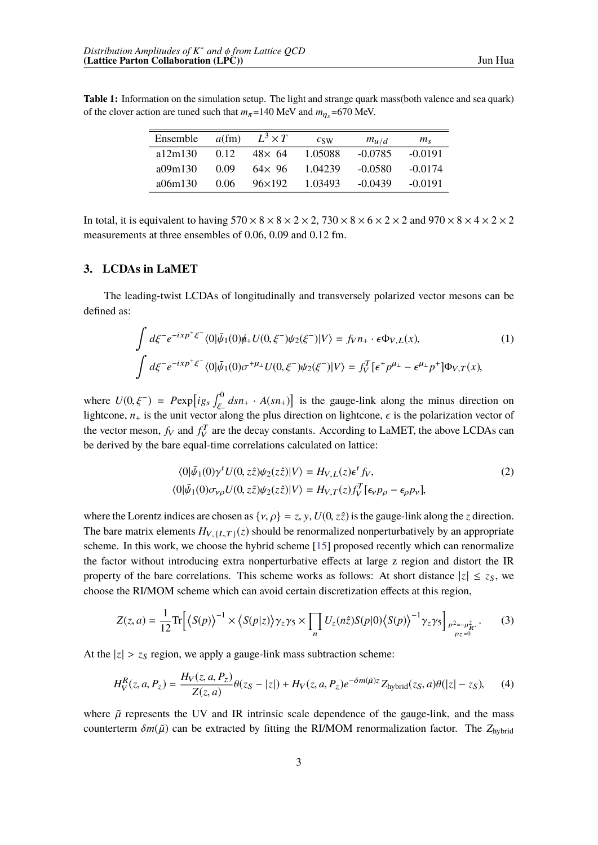<span id="page-2-0"></span>**Table 1:** Information on the simulation setup. The light and strange quark mass(both valence and sea quark) of the clover action are tuned such that  $m_{\pi}$ =140 MeV and  $m_{\eta_s}$ =670 MeV.

| Ensemble | $a$ (fm) | $L^3 \times T$  | c <sub>SW</sub> | $m_{u/d}$ | $m_{\rm s}$ |
|----------|----------|-----------------|-----------------|-----------|-------------|
| a12m130  | 0.12     | $48\times 64$   | 1.05088         | $-0.0785$ | $-0.0191$   |
| a09m130  | 0.09     | $64 \times 96$  | 1.04239         | $-0.0580$ | $-0.0174$   |
| a06m130  | 0.06     | $96 \times 192$ | 1.03493         | $-0.0439$ | $-0.0191$   |

In total, it is equivalent to having  $570 \times 8 \times 8 \times 2 \times 2$ ,  $730 \times 8 \times 6 \times 2 \times 2$  and  $970 \times 8 \times 4 \times 2 \times 2$ measurements at three ensembles of 0.06, 0.09 and 0.12 fm.

### **3. LCDAs in LaMET**

The leading-twist LCDAs of longitudinally and transversely polarized vector mesons can be defined as:

$$
\int d\xi^- e^{-ixp^+\xi^-} \langle 0|\bar{\psi}_1(0)\psi_+ U(0,\xi^-)\psi_2(\xi^-)|V\rangle = f_V n_+ \cdot \epsilon \Phi_{V,L}(x),
$$
\n
$$
\int d\xi^- e^{-ixp^+\xi^-} \langle 0|\bar{\psi}_1(0)\sigma^{+\mu_\perp} U(0,\xi^-)\psi_2(\xi^-)|V\rangle = f_V^T [\epsilon^+ p^{\mu_\perp} - \epsilon^{\mu_\perp} p^+] \Phi_{V,T}(x),
$$
\n(1)

where  $U(0, \xi^-) = P \exp[i g_s \int_{\xi^-}^0 ds n_+ \cdot A(s n_+)]$  is the gauge-link along the minus direction on lightcone,  $n_+$  is the unit vector along the plus direction on lightcone,  $\epsilon$  is the polarization vector of the vector meson,  $f_V$  and  $f_V^T$  are the decay constants. According to LaMET, the above LCDAs can be derived by the bare equal-time correlations calculated on lattice:

$$
\langle 0|\bar{\psi}_1(0)\gamma^t U(0, z\hat{z})\psi_2(z\hat{z})|V\rangle = H_{V, L}(z)\epsilon^t f_V,
$$
  

$$
\langle 0|\bar{\psi}_1(0)\sigma_{\nu\rho}U(0, z\hat{z})\psi_2(z\hat{z})|V\rangle = H_{V, T}(z)f_V^T[\epsilon_{\nu}p_{\rho} - \epsilon_{\rho}p_{\nu}],
$$
 (2)

where the Lorentz indices are chosen as  $\{v, \rho\} = z, y, U(0, z\hat{z})$  is the gauge-link along the *z* direction. The bare matrix elements  $H_{V, \{L,T\}}(z)$  should be renormalized nonperturbatively by an appropriate scheme. In this work, we choose the hybrid scheme [[15\]](#page-7-5) proposed recently which can renormalize the factor without introducing extra nonperturbative effects at large z region and distort the IR property of the bare correlations. This scheme works as follows: At short distance  $|z| \le z_S$ , we choose the RI/MOM scheme which can avoid certain discretization effects at this region,

$$
Z(z,a) = \frac{1}{12} \text{Tr} \Big[ \langle S(p) \rangle^{-1} \times \langle S(p|z) \rangle \gamma_z \gamma_5 \times \prod_n U_z(n\hat{z}) S(p|0) \langle S(p) \rangle^{-1} \gamma_z \gamma_5 \Big]_{\substack{p^2 = -\mu_R^2,\\p_z = 0}}.
$$
 (3)

At the  $|z| > z_s$  region, we apply a gauge-link mass subtraction scheme:

$$
H_V^R(z, a, P_z) = \frac{H_V(z, a, P_z)}{Z(z, a)} \theta(z_S - |z|) + H_V(z, a, P_z) e^{-\delta m(\tilde{\mu})z} Z_{\text{hybrid}}(z_S, a) \theta(|z| - z_S), \tag{4}
$$

where  $\tilde{\mu}$  represents the UV and IR intrinsic scale dependence of the gauge-link, and the mass counterterm  $\delta m(\tilde{\mu})$  can be extracted by fitting the RI/MOM renormalization factor. The  $Z_{hybrid}$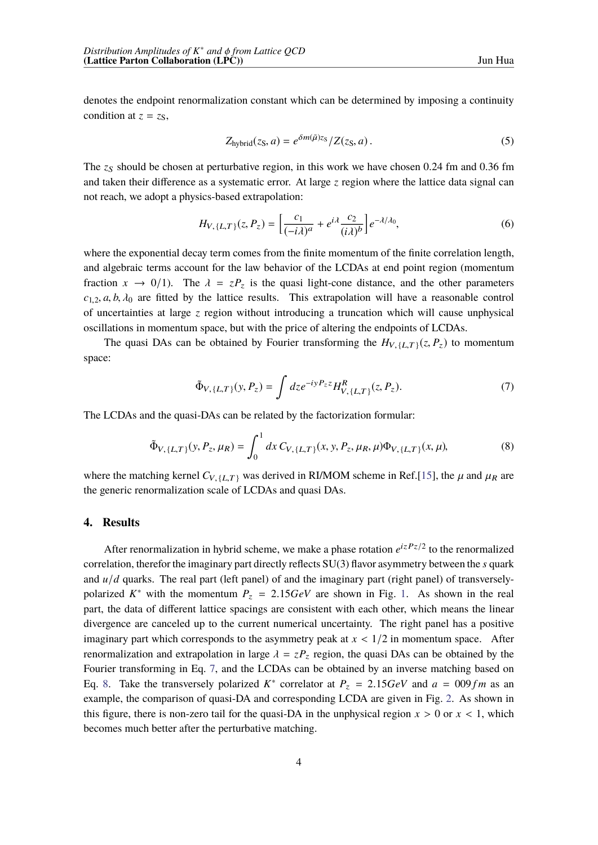denotes the endpoint renormalization constant which can be determined by imposing a continuity condition at  $z = zs$ ,

$$
Z_{\text{hybrid}}(z_S, a) = e^{\delta m(\tilde{\mu})z_S} / Z(z_S, a) \,. \tag{5}
$$

The *z<sub>S</sub>* should be chosen at perturbative region, in this work we have chosen 0.24 fm and 0.36 fm and taken their difference as a systematic error. At large *z* region where the lattice data signal can not reach, we adopt a physics-based extrapolation:

$$
H_{V,\{L,T\}}(z,P_z) = \left[\frac{c_1}{(-i\lambda)^a} + e^{i\lambda} \frac{c_2}{(i\lambda)^b}\right] e^{-\lambda/\lambda_0},\tag{6}
$$

where the exponential decay term comes from the finite momentum of the finite correlation length, and algebraic terms account for the law behavior of the LCDAs at end point region (momentum fraction  $x \to 0/1$ . The  $\lambda = zP_z$  is the quasi light-cone distance, and the other parameters  $c_{1,2}$ , *a*, *b*,  $\lambda_0$  are fitted by the lattice results. This extrapolation will have a reasonable control of uncertainties at large *z* region without introducing a truncation which will cause unphysical oscillations in momentum space, but with the price of altering the endpoints of LCDAs.

The quasi DAs can be obtained by Fourier transforming the  $H_{V, \{L,T\}}(z, P_z)$  to momentum space:

<span id="page-3-1"></span><span id="page-3-0"></span>
$$
\tilde{\Phi}_{V, \{L,T\}}(y, P_z) = \int dz e^{-iyP_z z} H_{V, \{L,T\}}^R(z, P_z). \tag{7}
$$

The LCDAs and the quasi-DAs can be related by the factorization formular:

$$
\tilde{\Phi}_{V, \{L,T\}}(y, P_z, \mu_R) = \int_0^1 dx \, C_{V, \{L,T\}}(x, y, P_z, \mu_R, \mu) \Phi_{V, \{L,T\}}(x, \mu), \tag{8}
$$

where [th](#page-7-5)e matching kernel  $C_{V, \{L,T\}}$  was derived in RI/MOM scheme in Ref.[15], the  $\mu$  and  $\mu_R$  are the generic renormalization scale of LCDAs and quasi DAs.

### **4. Results**

After renormalization in hybrid scheme, we make a phase rotation  $e^{izPz/2}$  to the renormalized correlation, therefor the imaginary part directly reflects SU(3) flavor asymmetry between the *s* quark and *u/d* quarks. The real part (left panel) of and the imaginary part (right panel) of transverselypolarized  $K^*$  with t[he](#page-4-0) momentum  $P_z = 2.15 GeV$  are shown in Fig. 1. As shown in the real part, the data of different lattice spacings are consistent with each other, which means the linear divergence are canceled up to the current numerical uncertainty. The right panel has a positive imaginary part which corresponds to the asymmetry peak at  $x < 1/2$  in momentum space. After renormalization and extrapolation in large  $\lambda = zP_z$  region, the quasi DAs can be obtained by the Fourier transforming in Eq. [7](#page-3-0), and the LCDAs can be obtained by an inverse matching based on Eq. [8.](#page-3-1) Take the transversely polarized  $K^*$  correlator at  $P_z = 2.15 \text{GeV}$  and  $a = 0.09 \text{fm}$  as an example, the comparison of quasi-DA and corresponding LCDA are given in Fig. [2.](#page-4-1) As shown in this figure, there is non-zero tail for the quasi-DA in the unphysical region  $x > 0$  or  $x < 1$ , which becomes much better after the perturbative matching.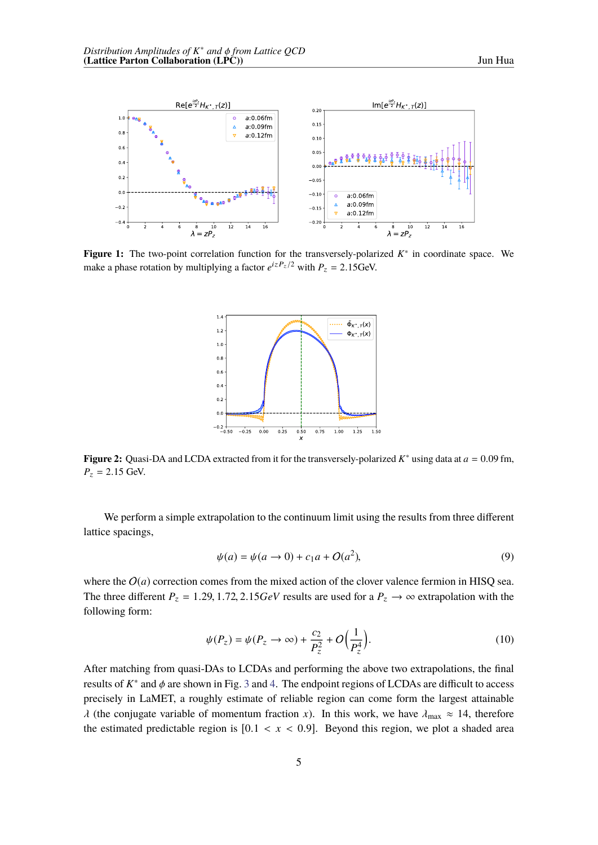<span id="page-4-0"></span>

<span id="page-4-1"></span>**Figure 1:** The two-point correlation function for the transversely-polarized *K*∗ in coordinate space. We make a phase rotation by multiplying a factor  $e^{izP_z/2}$  with  $P_z = 2.15$ GeV.



**Figure 2:** Quasi-DA and LCDA extracted from it for the transversely-polarized *K*∗ using data at *a* = 0.09 fm,  $P_z = 2.15$  GeV.

We perform a simple extrapolation to the continuum limit using the results from three different lattice spacings,

$$
\psi(a) = \psi(a \to 0) + c_1 a + O(a^2),\tag{9}
$$

where the  $O(a)$  correction comes from the mixed action of the clover valence fermion in HISQ sea. The three different  $P_z = 1.29, 1.72, 2.15$  GeV results are used for a  $P_z \rightarrow \infty$  extrapolation with the following form:

$$
\psi(P_z) = \psi(P_z \to \infty) + \frac{c_2}{P_z^2} + O\left(\frac{1}{P_z^4}\right).
$$
\n(10)

After matching from quasi-DAs to LCDAs and performing the above two extrapolations, the final r[e](#page-5-1)sults of  $K^*$  and  $\phi$  are shown in Fig. 3 and [4.](#page-5-0) The endpoint regions of LCDAs are difficult to access precisely in LaMET, a roughly estimate of reliable region can come form the largest attainable  $\lambda$  (the conjugate variable of momentum fraction *x*). In this work, we have  $\lambda_{\text{max}} \approx 14$ , therefore the estimated predictable region is  $[0.1 < x < 0.9]$ . Beyond this region, we plot a shaded area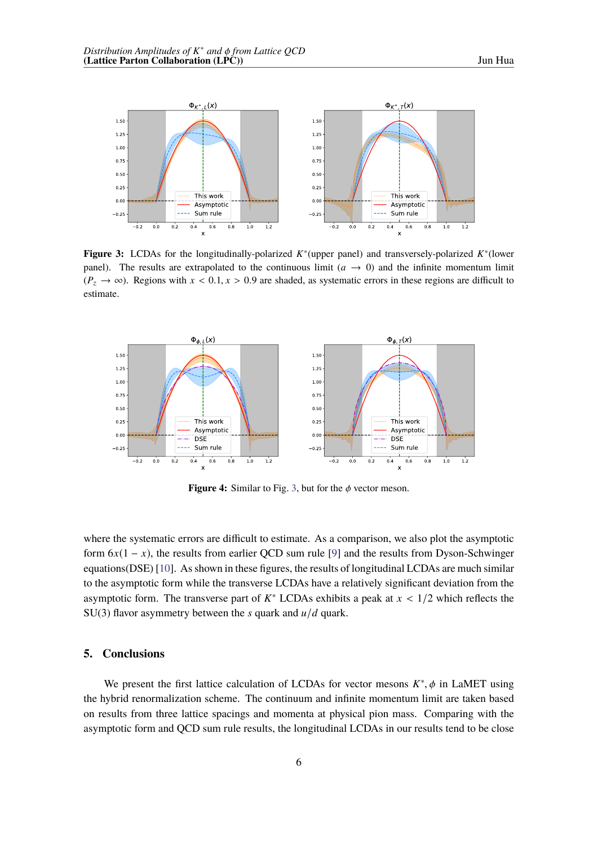<span id="page-5-0"></span>

**Figure 3:** LCDAs for the longitudinally-polarized *K*∗(upper panel) and transversely-polarized *K*∗(lower panel). The results are extrapolated to the continuous limit  $(a \rightarrow 0)$  and the infinite momentum limit  $(P_z \rightarrow \infty)$ . Regions with  $x < 0.1$ ,  $x > 0.9$  are shaded, as systematic errors in these regions are difficult to estimate.

<span id="page-5-1"></span>

**Figure 4:** Similar to Fig. [3](#page-5-0), but for the  $\phi$  vector meson.

where the systematic errors are difficult to estimate. As a comparison, we also plot the asymptotic form  $6x(1 - x)$ , t[he](#page-7-0) results from earlier QCD sum rule [9] and the results from Dyson-Schwinger equations(DSE) [[10](#page-7-1)]. Asshown in these figures, the results of longitudinal LCDAs are much similar to the asymptotic form while the transverse LCDAs have a relatively significant deviation from the asymptotic form. The transverse part of  $K^*$  LCDAs exhibits a peak at  $x < 1/2$  which reflects the SU(3) flavor asymmetry between the  $s$  quark and  $u/d$  quark.

#### **5. Conclusions**

We present the first lattice calculation of LCDAs for vector mesons  $K^*$ ,  $\phi$  in LaMET using the hybrid renormalization scheme. The continuum and infinite momentum limit are taken based on results from three lattice spacings and momenta at physical pion mass. Comparing with the asymptotic form and QCD sum rule results, the longitudinal LCDAs in our results tend to be close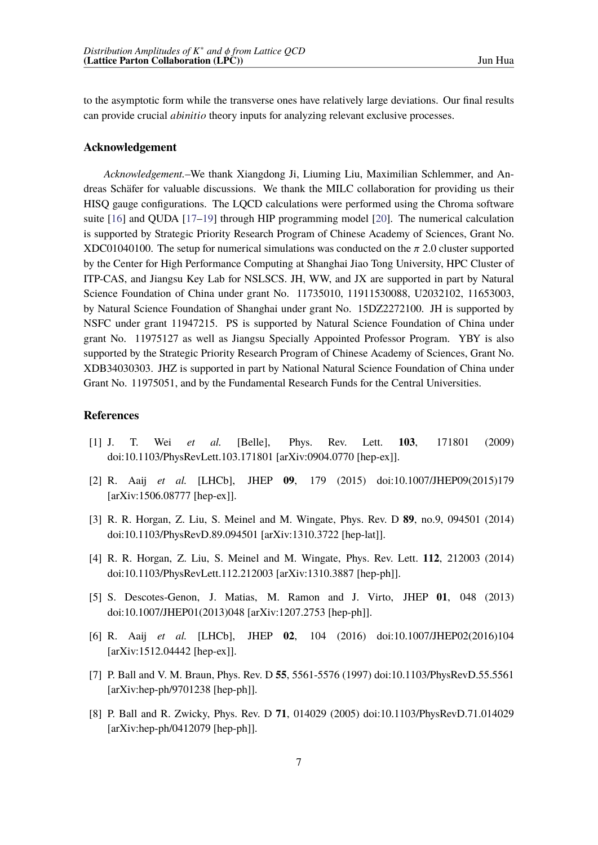to the asymptotic form while the transverse ones have relatively large deviations. Our final results can provide crucial *abinitio* theory inputs for analyzing relevant exclusive processes.

### **Acknowledgement**

*Acknowledgement.*–We thank Xiangdong Ji, Liuming Liu, Maximilian Schlemmer, and Andreas Schäfer for valuable discussions. We thank the MILC collaboration for providing us their HISQ gauge configurations. The LQCD calculations were performed using the Chroma software suite [[16\]](#page-7-6) and QUDA [\[17](#page-7-7)–[19](#page-7-8)] through HIP programming model [\[20](#page-7-9)]. The numerical calculation is supported by Strategic Priority Research Program of Chinese Academy of Sciences, Grant No. XDC01040100. The setup for numerical simulations was conducted on the  $\pi$  2.0 cluster supported by the Center for High Performance Computing at Shanghai Jiao Tong University, HPC Cluster of ITP-CAS, and Jiangsu Key Lab for NSLSCS. JH, WW, and JX are supported in part by Natural Science Foundation of China under grant No. 11735010, 11911530088, U2032102, 11653003, by Natural Science Foundation of Shanghai under grant No. 15DZ2272100. JH is supported by NSFC under grant 11947215. PS is supported by Natural Science Foundation of China under grant No. 11975127 as well as Jiangsu Specially Appointed Professor Program. YBY is also supported by the Strategic Priority Research Program of Chinese Academy of Sciences, Grant No. XDB34030303. JHZ is supported in part by National Natural Science Foundation of China under Grant No. 11975051, and by the Fundamental Research Funds for the Central Universities.

## **References**

- <span id="page-6-0"></span>[1] J. T. Wei *et al.* [Belle], Phys. Rev. Lett. **103**, 171801 (2009) doi:10.1103/PhysRevLett.103.171801 [arXiv:0904.0770 [hep-ex]].
- <span id="page-6-1"></span>[2] R. Aaij *et al.* [LHCb], JHEP **09**, 179 (2015) doi:10.1007/JHEP09(2015)179 [arXiv:1506.08777 [hep-ex]].
- <span id="page-6-2"></span>[3] R. R. Horgan, Z. Liu, S. Meinel and M. Wingate, Phys. Rev. D **89**, no.9, 094501 (2014) doi:10.1103/PhysRevD.89.094501 [arXiv:1310.3722 [hep-lat]].
- <span id="page-6-3"></span>[4] R. R. Horgan, Z. Liu, S. Meinel and M. Wingate, Phys. Rev. Lett. **112**, 212003 (2014) doi:10.1103/PhysRevLett.112.212003 [arXiv:1310.3887 [hep-ph]].
- <span id="page-6-4"></span>[5] S. Descotes-Genon, J. Matias, M. Ramon and J. Virto, JHEP **01**, 048 (2013) doi:10.1007/JHEP01(2013)048 [arXiv:1207.2753 [hep-ph]].
- <span id="page-6-5"></span>[6] R. Aaij *et al.* [LHCb], JHEP **02**, 104 (2016) doi:10.1007/JHEP02(2016)104 [arXiv:1512.04442 [hep-ex]].
- <span id="page-6-6"></span>[7] P. Ball and V. M. Braun, Phys. Rev. D **55**, 5561-5576 (1997) doi:10.1103/PhysRevD.55.5561 [arXiv:hep-ph/9701238 [hep-ph]].
- <span id="page-6-7"></span>[8] P. Ball and R. Zwicky, Phys. Rev. D **71**, 014029 (2005) doi:10.1103/PhysRevD.71.014029 [arXiv:hep-ph/0412079 [hep-ph]].